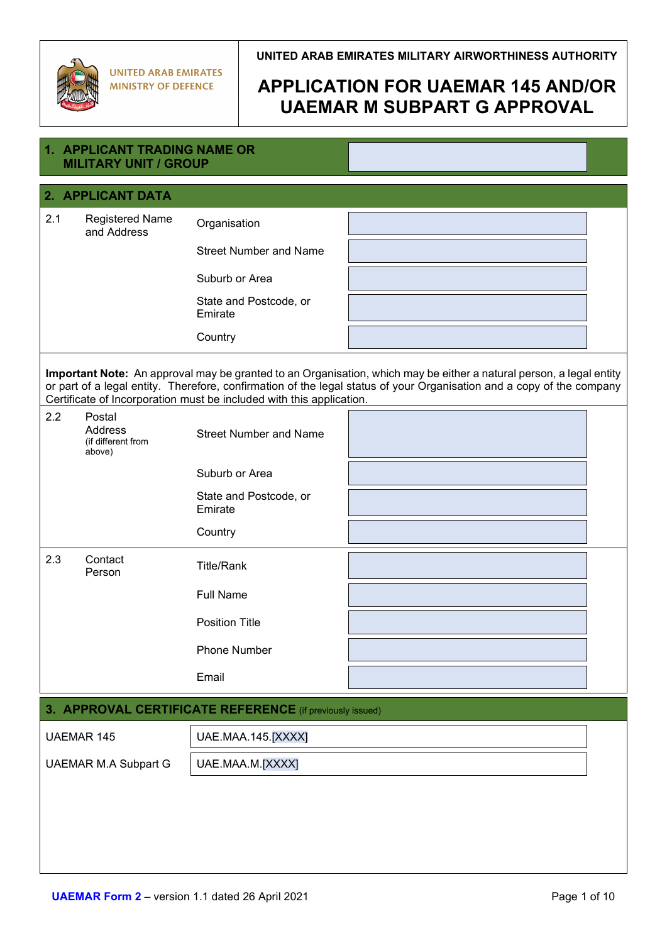

| 1. APPLICANT TRADING NAME OR<br><b>MILITARY UNIT / GROUP</b>    |                                                                      |                                                                                                                                                                                                                                              |  |
|-----------------------------------------------------------------|----------------------------------------------------------------------|----------------------------------------------------------------------------------------------------------------------------------------------------------------------------------------------------------------------------------------------|--|
| 2. APPLICANT DATA                                               |                                                                      |                                                                                                                                                                                                                                              |  |
| 2.1<br><b>Registered Name</b><br>and Address                    | Organisation                                                         |                                                                                                                                                                                                                                              |  |
|                                                                 | <b>Street Number and Name</b>                                        |                                                                                                                                                                                                                                              |  |
|                                                                 | Suburb or Area                                                       |                                                                                                                                                                                                                                              |  |
|                                                                 | State and Postcode, or<br>Emirate                                    |                                                                                                                                                                                                                                              |  |
|                                                                 | Country                                                              |                                                                                                                                                                                                                                              |  |
|                                                                 | Certificate of Incorporation must be included with this application. | Important Note: An approval may be granted to an Organisation, which may be either a natural person, a legal entity<br>or part of a legal entity. Therefore, confirmation of the legal status of your Organisation and a copy of the company |  |
| 2.2<br>Postal<br><b>Address</b><br>(if different from<br>above) | <b>Street Number and Name</b>                                        |                                                                                                                                                                                                                                              |  |
|                                                                 | Suburb or Area                                                       |                                                                                                                                                                                                                                              |  |
|                                                                 | State and Postcode, or<br>Emirate                                    |                                                                                                                                                                                                                                              |  |
|                                                                 | Country                                                              |                                                                                                                                                                                                                                              |  |
| 2.3<br>Contact<br>Person                                        | <b>Title/Rank</b>                                                    |                                                                                                                                                                                                                                              |  |
|                                                                 | <b>Full Name</b>                                                     |                                                                                                                                                                                                                                              |  |
|                                                                 | <b>Position Title</b>                                                |                                                                                                                                                                                                                                              |  |
|                                                                 | Phone Number                                                         |                                                                                                                                                                                                                                              |  |
|                                                                 | Email                                                                |                                                                                                                                                                                                                                              |  |
| 3. APPROVAL CERTIFICATE REFERENCE (if previously issued)        |                                                                      |                                                                                                                                                                                                                                              |  |
| <b>UAEMAR 145</b>                                               | UAE.MAA.145.[XXXX]                                                   |                                                                                                                                                                                                                                              |  |
| <b>UAEMAR M.A Subpart G</b>                                     | UAE.MAA.M.[XXXX]                                                     |                                                                                                                                                                                                                                              |  |
|                                                                 |                                                                      |                                                                                                                                                                                                                                              |  |
|                                                                 |                                                                      |                                                                                                                                                                                                                                              |  |
|                                                                 |                                                                      |                                                                                                                                                                                                                                              |  |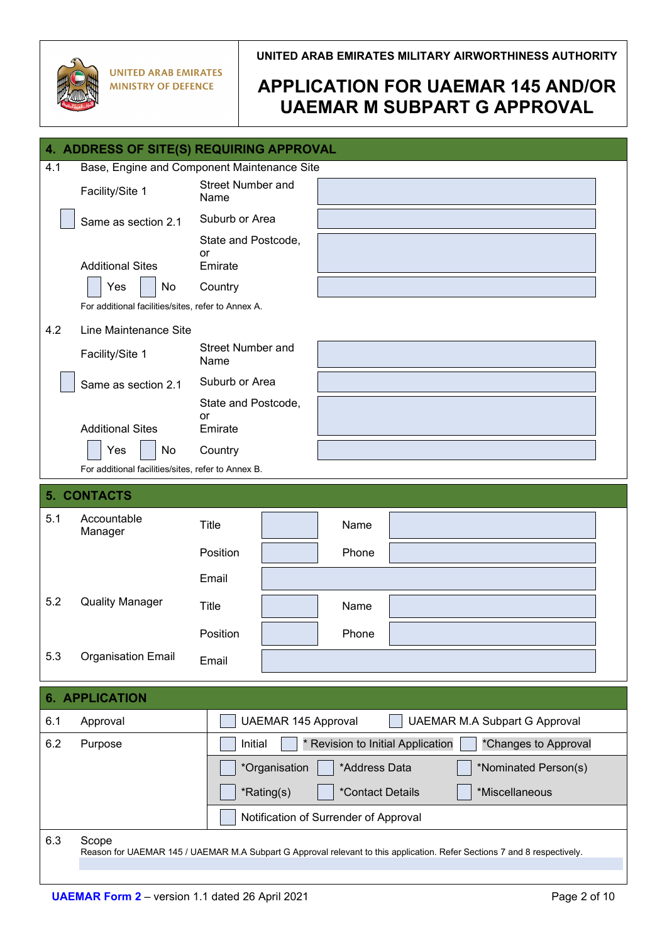

| 4. ADDRESS OF SITE(S) REQUIRING APPROVAL |                                                                                                                          |                                  |                                                           |  |  |
|------------------------------------------|--------------------------------------------------------------------------------------------------------------------------|----------------------------------|-----------------------------------------------------------|--|--|
| 4.1                                      | Base, Engine and Component Maintenance Site                                                                              |                                  |                                                           |  |  |
|                                          | Facility/Site 1                                                                                                          | <b>Street Number and</b><br>Name |                                                           |  |  |
|                                          | Same as section 2.1                                                                                                      | Suburb or Area                   |                                                           |  |  |
|                                          |                                                                                                                          | State and Postcode,              |                                                           |  |  |
|                                          | <b>Additional Sites</b>                                                                                                  | or<br>Emirate                    |                                                           |  |  |
|                                          | No<br>Yes                                                                                                                | Country                          |                                                           |  |  |
|                                          | For additional facilities/sites, refer to Annex A.                                                                       |                                  |                                                           |  |  |
| 4.2                                      | Line Maintenance Site                                                                                                    |                                  |                                                           |  |  |
|                                          | Facility/Site 1                                                                                                          | <b>Street Number and</b><br>Name |                                                           |  |  |
|                                          | Same as section 2.1                                                                                                      | Suburb or Area                   |                                                           |  |  |
|                                          |                                                                                                                          | State and Postcode,              |                                                           |  |  |
|                                          | <b>Additional Sites</b>                                                                                                  | or<br>Emirate                    |                                                           |  |  |
|                                          | No<br>Yes                                                                                                                | Country                          |                                                           |  |  |
|                                          | For additional facilities/sites, refer to Annex B.                                                                       |                                  |                                                           |  |  |
|                                          | 5. CONTACTS                                                                                                              |                                  |                                                           |  |  |
| 5.1                                      | Accountable<br>Manager                                                                                                   | <b>Title</b>                     | Name                                                      |  |  |
|                                          |                                                                                                                          | Position                         | Phone                                                     |  |  |
|                                          |                                                                                                                          | Email                            |                                                           |  |  |
| 5.2                                      | <b>Quality Manager</b>                                                                                                   |                                  |                                                           |  |  |
|                                          |                                                                                                                          | <b>Title</b>                     | Name                                                      |  |  |
|                                          |                                                                                                                          | Position                         | Phone                                                     |  |  |
| 5.3                                      | <b>Organisation Email</b>                                                                                                | Email                            |                                                           |  |  |
|                                          |                                                                                                                          |                                  |                                                           |  |  |
|                                          | <b>6. APPLICATION</b>                                                                                                    |                                  |                                                           |  |  |
| 6.1                                      | Approval                                                                                                                 | <b>UAEMAR 145 Approval</b>       | <b>UAEMAR M.A Subpart G Approval</b>                      |  |  |
| 6.2                                      | Purpose                                                                                                                  | Initial                          | * Revision to Initial Application<br>*Changes to Approval |  |  |
|                                          |                                                                                                                          | *Organisation                    | *Address Data<br>*Nominated Person(s)                     |  |  |
|                                          |                                                                                                                          | *Rating(s)                       | *Miscellaneous<br>*Contact Details                        |  |  |
|                                          |                                                                                                                          |                                  | Notification of Surrender of Approval                     |  |  |
| 6.3                                      | Scope                                                                                                                    |                                  |                                                           |  |  |
|                                          | Reason for UAEMAR 145 / UAEMAR M.A Subpart G Approval relevant to this application. Refer Sections 7 and 8 respectively. |                                  |                                                           |  |  |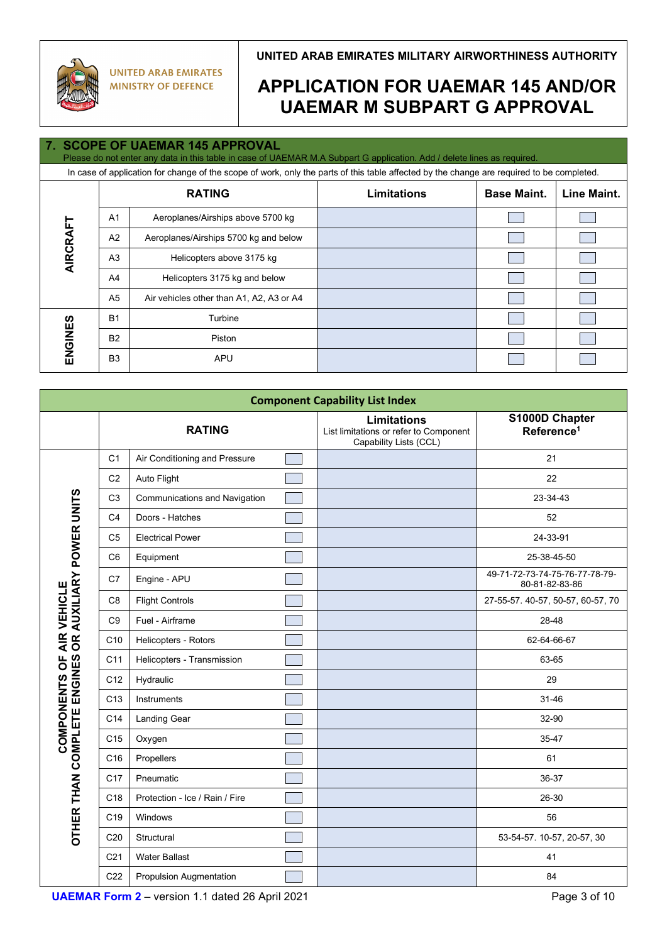

# **APPLICATION FOR UAEMAR 145 AND/OR UAEMAR M SUBPART G APPROVAL**

### **7. SCOPE OF UAEMAR 145 APPROVAL**

Please do not enter any data in this table in case of UAEMAR M.A Subpart G application. Add / delete lines as required. In case of application for change of the scope of work, only the parts of this table affected by the change are required to be completed.

| <b>RATING</b> |                |                                          | <b>Limitations</b> | <b>Base Maint.</b> | Line Maint. |
|---------------|----------------|------------------------------------------|--------------------|--------------------|-------------|
|               | A <sub>1</sub> | Aeroplanes/Airships above 5700 kg        |                    |                    |             |
| AIRCRAFT      | A2             | Aeroplanes/Airships 5700 kg and below    |                    |                    |             |
|               | A <sub>3</sub> | Helicopters above 3175 kg                |                    |                    |             |
|               | A4             | Helicopters 3175 kg and below            |                    |                    |             |
|               | A <sub>5</sub> | Air vehicles other than A1, A2, A3 or A4 |                    |                    |             |
|               | <b>B1</b>      | Turbine                                  |                    |                    |             |
| ENGINES       | <b>B2</b>      | Piston                                   |                    |                    |             |
|               | B <sub>3</sub> | <b>APU</b>                               |                    |                    |             |

| <b>Component Capability List Index</b>                                 |                 |                                      |  |                                                                                        |                                                  |
|------------------------------------------------------------------------|-----------------|--------------------------------------|--|----------------------------------------------------------------------------------------|--------------------------------------------------|
|                                                                        |                 | <b>RATING</b>                        |  | <b>Limitations</b><br>List limitations or refer to Component<br>Capability Lists (CCL) | S1000D Chapter<br>Reference <sup>1</sup>         |
|                                                                        | C <sub>1</sub>  | Air Conditioning and Pressure        |  |                                                                                        | 21                                               |
|                                                                        | C <sub>2</sub>  | Auto Flight                          |  |                                                                                        | 22                                               |
|                                                                        | C <sub>3</sub>  | <b>Communications and Navigation</b> |  |                                                                                        | 23-34-43                                         |
|                                                                        | C <sub>4</sub>  | Doors - Hatches                      |  |                                                                                        | 52                                               |
|                                                                        | C <sub>5</sub>  | <b>Electrical Power</b>              |  |                                                                                        | 24-33-91                                         |
|                                                                        | C <sub>6</sub>  | Equipment                            |  |                                                                                        | 25-38-45-50                                      |
| AIR VEHICLE<br>OR AUXILIARY POWER UNITS                                | C7              | Engine - APU                         |  |                                                                                        | 49-71-72-73-74-75-76-77-78-79-<br>80-81-82-83-86 |
|                                                                        | C <sub>8</sub>  | <b>Flight Controls</b>               |  |                                                                                        | 27-55-57. 40-57, 50-57, 60-57, 70                |
|                                                                        | C <sub>9</sub>  | Fuel - Airframe                      |  |                                                                                        | 28-48                                            |
|                                                                        | C10             | Helicopters - Rotors                 |  |                                                                                        | 62-64-66-67                                      |
| pp                                                                     | C11             | Helicopters - Transmission           |  |                                                                                        | 63-65                                            |
| ENGINES                                                                | C12             | Hydraulic                            |  |                                                                                        | 29                                               |
|                                                                        | C <sub>13</sub> | Instruments                          |  |                                                                                        | 31-46                                            |
|                                                                        | C14             | Landing Gear                         |  |                                                                                        | 32-90                                            |
| <b>COMPONENTS</b>                                                      | C <sub>15</sub> | Oxygen                               |  |                                                                                        | 35-47                                            |
| OTHER THAN COMPLETE                                                    | C16             | Propellers                           |  |                                                                                        | 61                                               |
|                                                                        | C <sub>17</sub> | Pneumatic                            |  |                                                                                        | 36-37                                            |
|                                                                        | C <sub>18</sub> | Protection - Ice / Rain / Fire       |  |                                                                                        | 26-30                                            |
|                                                                        | C <sub>19</sub> | Windows                              |  |                                                                                        | 56                                               |
|                                                                        | C <sub>20</sub> | Structural                           |  |                                                                                        | 53-54-57. 10-57, 20-57, 30                       |
|                                                                        | C <sub>21</sub> | <b>Water Ballast</b>                 |  |                                                                                        | 41                                               |
|                                                                        | C <sub>22</sub> | <b>Propulsion Augmentation</b>       |  |                                                                                        | 84                                               |
| <b>UAEMAR Form 2</b> - version 1.1 dated 26 April 2021<br>Page 3 of 10 |                 |                                      |  |                                                                                        |                                                  |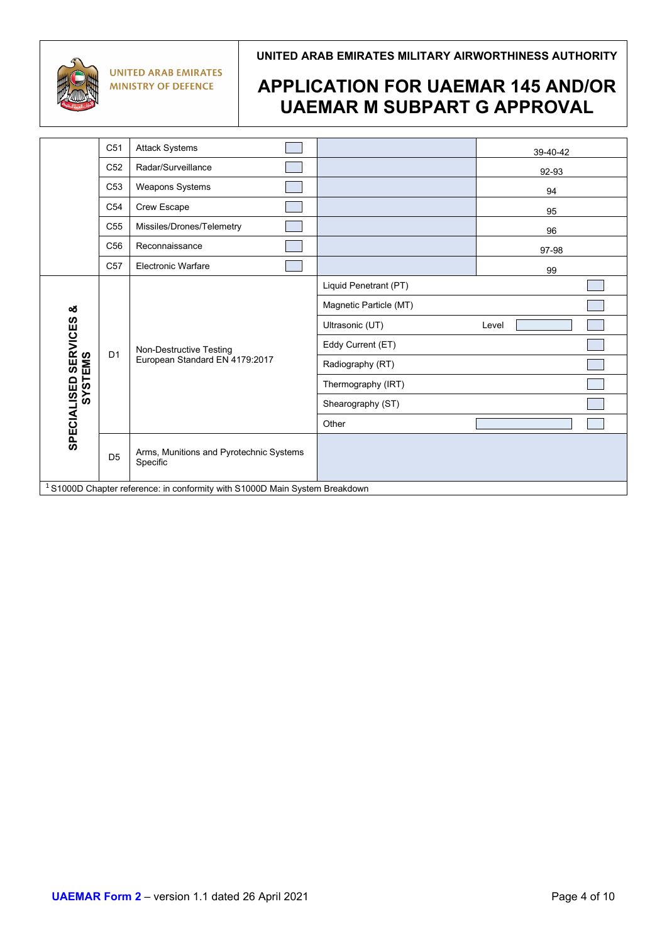

**UNITED ARAB EMIRATES MILITARY AIRWORTHINESS AUTHORITY**

|                                                                                        | C <sub>51</sub> | <b>Attack Systems</b>                                     |                        | 39-40-42 |
|----------------------------------------------------------------------------------------|-----------------|-----------------------------------------------------------|------------------------|----------|
|                                                                                        | C <sub>52</sub> | Radar/Surveillance                                        |                        | 92-93    |
|                                                                                        | C <sub>53</sub> | <b>Weapons Systems</b>                                    |                        | 94       |
|                                                                                        | C <sub>54</sub> | Crew Escape                                               |                        | 95       |
|                                                                                        | C <sub>55</sub> | Missiles/Drones/Telemetry                                 |                        | 96       |
|                                                                                        | C <sub>56</sub> | Reconnaissance                                            |                        | 97-98    |
|                                                                                        | C <sub>57</sub> | <b>Electronic Warfare</b>                                 |                        | 99       |
|                                                                                        |                 |                                                           | Liquid Penetrant (PT)  |          |
| ఱ                                                                                      |                 | Non-Destructive Testing<br>European Standard EN 4179:2017 | Magnetic Particle (MT) |          |
|                                                                                        |                 |                                                           | Ultrasonic (UT)        | Level    |
|                                                                                        | D <sub>1</sub>  |                                                           | Eddy Current (ET)      |          |
| <b>.ISED SERVICES<br/>SYSTEMS</b>                                                      |                 |                                                           | Radiography (RT)       |          |
|                                                                                        |                 |                                                           | Thermography (IRT)     |          |
| SPECIALISED                                                                            |                 |                                                           | Shearography (ST)      |          |
|                                                                                        |                 |                                                           | Other                  |          |
|                                                                                        | D <sub>5</sub>  | Arms, Munitions and Pyrotechnic Systems<br>Specific       |                        |          |
| <sup>1</sup> S1000D Chapter reference: in conformity with S1000D Main System Breakdown |                 |                                                           |                        |          |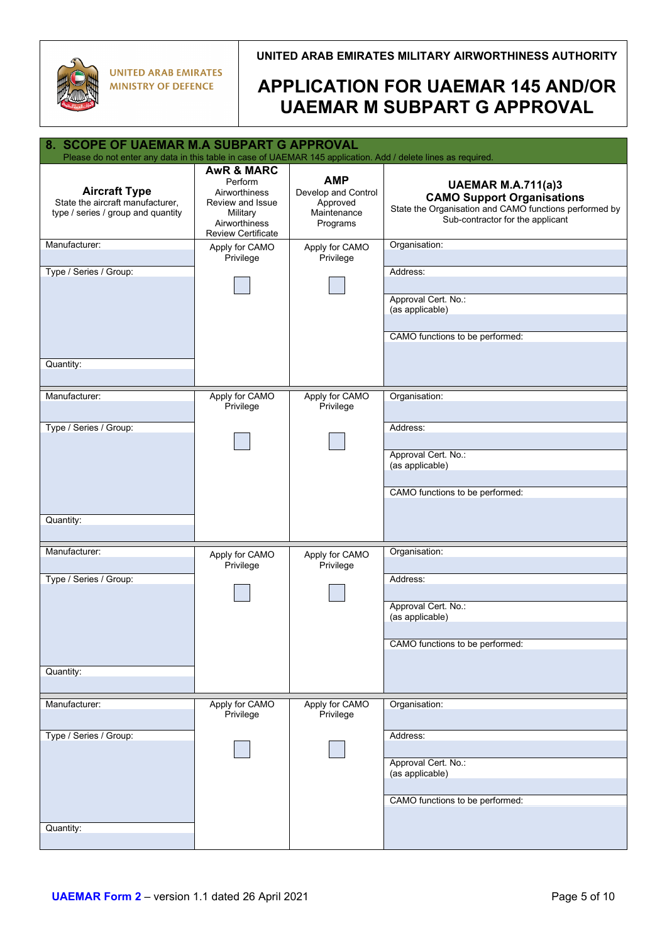

| 8. SCOPE OF UAEMAR M.A SUBPART G APPROVAL<br>Please do not enter any data in this table in case of UAEMAR 145 application. Add / delete lines as required. |                                                                                                                                 |                                                                          |                                                                                                                                                              |
|------------------------------------------------------------------------------------------------------------------------------------------------------------|---------------------------------------------------------------------------------------------------------------------------------|--------------------------------------------------------------------------|--------------------------------------------------------------------------------------------------------------------------------------------------------------|
|                                                                                                                                                            |                                                                                                                                 |                                                                          |                                                                                                                                                              |
| <b>Aircraft Type</b><br>State the aircraft manufacturer,<br>type / series / group and quantity                                                             | <b>AwR &amp; MARC</b><br>Perform<br>Airworthiness<br>Review and Issue<br>Military<br>Airworthiness<br><b>Review Certificate</b> | <b>AMP</b><br>Develop and Control<br>Approved<br>Maintenance<br>Programs | <b>UAEMAR M.A.711(a)3</b><br><b>CAMO Support Organisations</b><br>State the Organisation and CAMO functions performed by<br>Sub-contractor for the applicant |
| Manufacturer:                                                                                                                                              | Apply for CAMO<br>Privilege                                                                                                     | Apply for CAMO<br>Privilege                                              | Organisation:                                                                                                                                                |
| Type / Series / Group:                                                                                                                                     |                                                                                                                                 |                                                                          | Address:<br>Approval Cert. No.:<br>(as applicable)<br>CAMO functions to be performed:                                                                        |
| Quantity:                                                                                                                                                  |                                                                                                                                 |                                                                          |                                                                                                                                                              |
| Manufacturer:                                                                                                                                              | Apply for CAMO<br>Privilege                                                                                                     | Apply for CAMO<br>Privilege                                              | Organisation:                                                                                                                                                |
| Type / Series / Group:                                                                                                                                     |                                                                                                                                 |                                                                          | Address:                                                                                                                                                     |
|                                                                                                                                                            |                                                                                                                                 |                                                                          | Approval Cert. No.:<br>(as applicable)                                                                                                                       |
| Quantity:                                                                                                                                                  |                                                                                                                                 |                                                                          | CAMO functions to be performed:                                                                                                                              |
|                                                                                                                                                            |                                                                                                                                 |                                                                          |                                                                                                                                                              |
| Manufacturer:                                                                                                                                              | Apply for CAMO<br>Privilege                                                                                                     | Apply for CAMO<br>Privilege                                              | Organisation:                                                                                                                                                |
| Type / Series / Group:                                                                                                                                     |                                                                                                                                 |                                                                          | Address:                                                                                                                                                     |
|                                                                                                                                                            |                                                                                                                                 |                                                                          | Approval Cert. No.:<br>(as applicable)                                                                                                                       |
|                                                                                                                                                            |                                                                                                                                 |                                                                          | CAMO functions to be performed:                                                                                                                              |
| Quantity:                                                                                                                                                  |                                                                                                                                 |                                                                          |                                                                                                                                                              |
| Manufacturer:                                                                                                                                              | Apply for CAMO<br>Privilege                                                                                                     | Apply for CAMO<br>Privilege                                              | Organisation:                                                                                                                                                |
| Type / Series / Group:                                                                                                                                     |                                                                                                                                 |                                                                          | Address:                                                                                                                                                     |
|                                                                                                                                                            |                                                                                                                                 |                                                                          | Approval Cert. No.:<br>(as applicable)                                                                                                                       |
|                                                                                                                                                            |                                                                                                                                 |                                                                          | CAMO functions to be performed:                                                                                                                              |
| Quantity:                                                                                                                                                  |                                                                                                                                 |                                                                          |                                                                                                                                                              |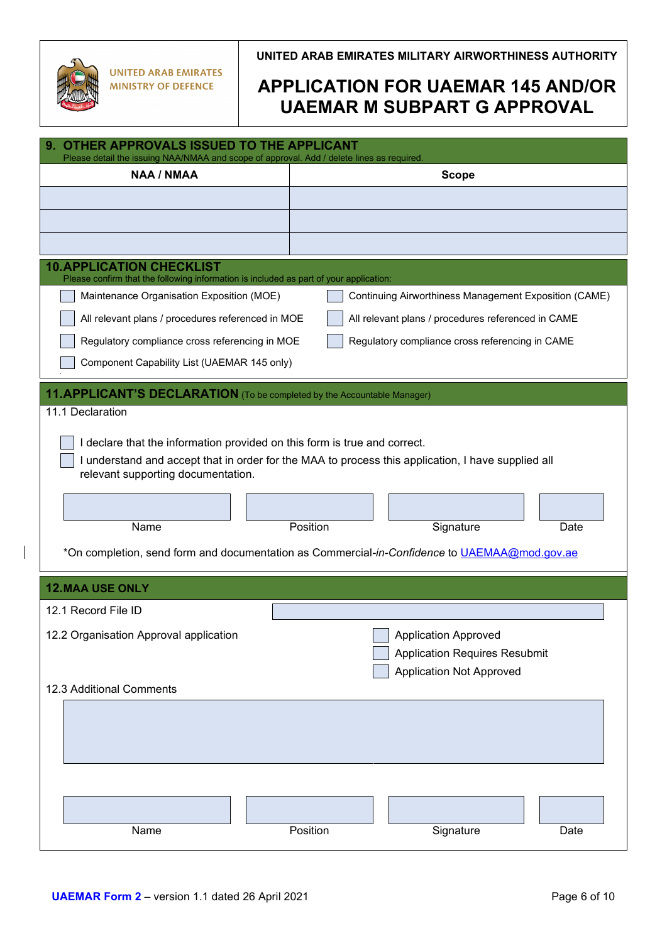

| 9. OTHER APPROVALS ISSUED TO THE APPLICANT<br>Please detail the issuing NAA/NMAA and scope of approval. Add / delete lines as required. |                                                                                                                                                                                                                                     |  |  |
|-----------------------------------------------------------------------------------------------------------------------------------------|-------------------------------------------------------------------------------------------------------------------------------------------------------------------------------------------------------------------------------------|--|--|
| <b>NAA / NMAA</b>                                                                                                                       | <b>Scope</b>                                                                                                                                                                                                                        |  |  |
|                                                                                                                                         |                                                                                                                                                                                                                                     |  |  |
|                                                                                                                                         |                                                                                                                                                                                                                                     |  |  |
|                                                                                                                                         |                                                                                                                                                                                                                                     |  |  |
| <b>10. APPLICATION CHECKLIST</b><br>Please confirm that the following information is included as part of your application:              |                                                                                                                                                                                                                                     |  |  |
| Maintenance Organisation Exposition (MOE)                                                                                               | Continuing Airworthiness Management Exposition (CAME)                                                                                                                                                                               |  |  |
| All relevant plans / procedures referenced in MOE                                                                                       | All relevant plans / procedures referenced in CAME                                                                                                                                                                                  |  |  |
| Regulatory compliance cross referencing in MOE                                                                                          | Regulatory compliance cross referencing in CAME                                                                                                                                                                                     |  |  |
| Component Capability List (UAEMAR 145 only)                                                                                             |                                                                                                                                                                                                                                     |  |  |
| 11. APPLICANT'S DECLARATION (To be completed by the Accountable Manager)                                                                |                                                                                                                                                                                                                                     |  |  |
| 11.1 Declaration                                                                                                                        |                                                                                                                                                                                                                                     |  |  |
| I declare that the information provided on this form is true and correct.<br>relevant supporting documentation.<br>Name                 | I understand and accept that in order for the MAA to process this application, I have supplied all<br>Position<br>Signature<br>Date<br>*On completion, send form and documentation as Commercial-in-Confidence to UAEMAA@mod.gov.ae |  |  |
| <b>12.MAA USE ONLY</b>                                                                                                                  |                                                                                                                                                                                                                                     |  |  |
| 12.1 Record File ID                                                                                                                     |                                                                                                                                                                                                                                     |  |  |
| 12.2 Organisation Approval application                                                                                                  | <b>Application Approved</b><br><b>Application Requires Resubmit</b><br><b>Application Not Approved</b>                                                                                                                              |  |  |
| 12.3 Additional Comments                                                                                                                |                                                                                                                                                                                                                                     |  |  |
|                                                                                                                                         |                                                                                                                                                                                                                                     |  |  |
| Name                                                                                                                                    | Position<br>Signature<br>Date                                                                                                                                                                                                       |  |  |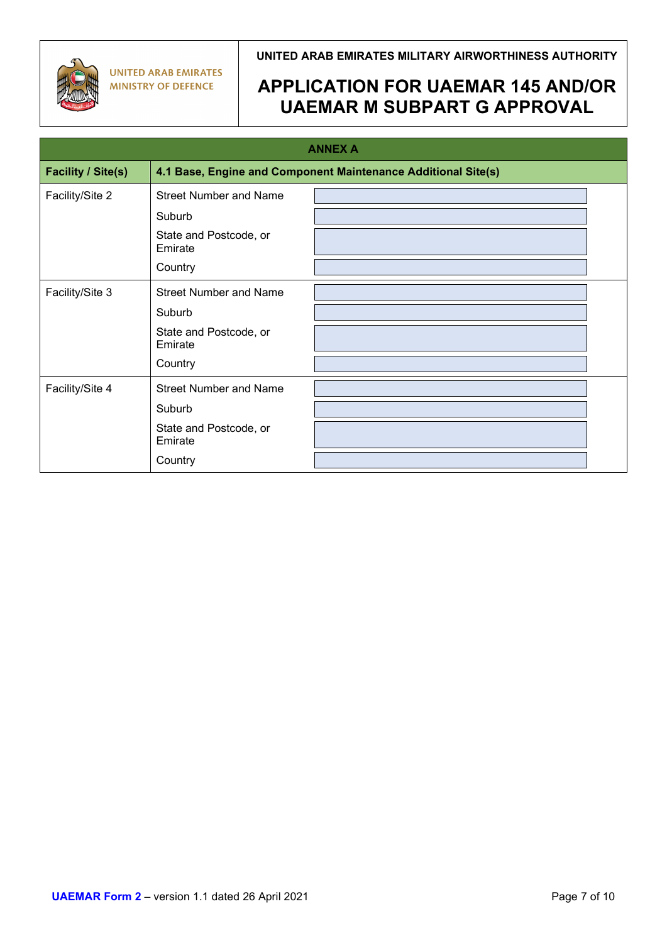

## **UNITED ARAB EMIRATES MILITARY AIRWORTHINESS AUTHORITY**

| <b>ANNEX A</b>            |                                   |                                                               |  |
|---------------------------|-----------------------------------|---------------------------------------------------------------|--|
| <b>Facility / Site(s)</b> |                                   | 4.1 Base, Engine and Component Maintenance Additional Site(s) |  |
| Facility/Site 2           | <b>Street Number and Name</b>     |                                                               |  |
|                           | Suburb                            |                                                               |  |
|                           | State and Postcode, or<br>Emirate |                                                               |  |
|                           | Country                           |                                                               |  |
| Facility/Site 3           | <b>Street Number and Name</b>     |                                                               |  |
|                           | Suburb                            |                                                               |  |
|                           | State and Postcode, or<br>Emirate |                                                               |  |
|                           | Country                           |                                                               |  |
| Facility/Site 4           | <b>Street Number and Name</b>     |                                                               |  |
|                           | Suburb                            |                                                               |  |
|                           | State and Postcode, or<br>Emirate |                                                               |  |
|                           | Country                           |                                                               |  |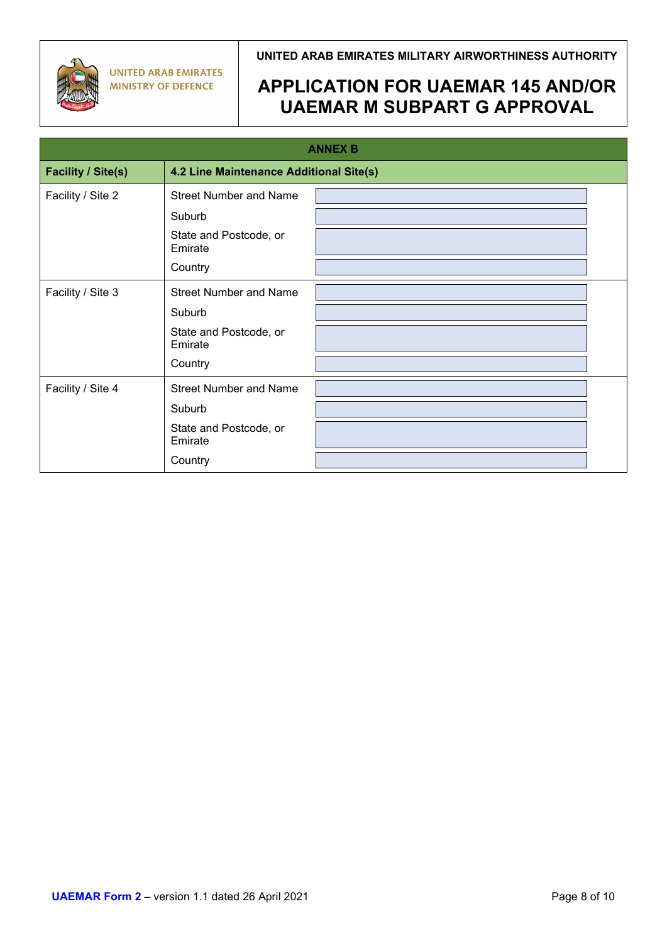

**UNITED ARAB EMIRATES MILITARY AIRWORTHINESS AUTHORITY**

| <b>ANNEX B</b>            |                                         |  |  |
|---------------------------|-----------------------------------------|--|--|
| <b>Facility / Site(s)</b> | 4.2 Line Maintenance Additional Site(s) |  |  |
| Facility / Site 2         | <b>Street Number and Name</b>           |  |  |
|                           | Suburb                                  |  |  |
|                           | State and Postcode, or<br>Emirate       |  |  |
|                           | Country                                 |  |  |
| Facility / Site 3         | <b>Street Number and Name</b>           |  |  |
|                           | Suburb                                  |  |  |
|                           | State and Postcode, or<br>Emirate       |  |  |
|                           | Country                                 |  |  |
| Facility / Site 4         | <b>Street Number and Name</b>           |  |  |
|                           | Suburb                                  |  |  |
|                           | State and Postcode, or<br>Emirate       |  |  |
|                           | Country                                 |  |  |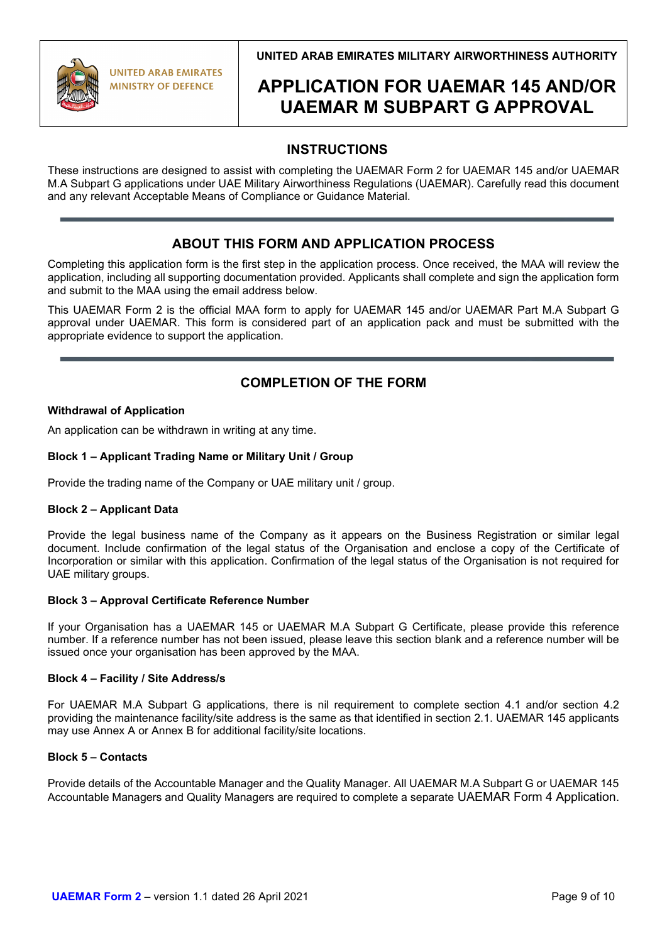**UNITED ARAB EMIRATES MILITARY AIRWORTHINESS AUTHORITY**

# **APPLICATION FOR UAEMAR 145 AND/OR UAEMAR M SUBPART G APPROVAL**

## **INSTRUCTIONS**

These instructions are designed to assist with completing the UAEMAR Form 2 for UAEMAR 145 and/or UAEMAR M.A Subpart G applications under UAE Military Airworthiness Regulations (UAEMAR). Carefully read this document and any relevant Acceptable Means of Compliance or Guidance Material.

## **ABOUT THIS FORM AND APPLICATION PROCESS**

Completing this application form is the first step in the application process. Once received, the MAA will review the application, including all supporting documentation provided. Applicants shall complete and sign the application form and submit to the MAA using the email address below.

This UAEMAR Form 2 is the official MAA form to apply for UAEMAR 145 and/or UAEMAR Part M.A Subpart G approval under UAEMAR. This form is considered part of an application pack and must be submitted with the appropriate evidence to support the application.

## **COMPLETION OF THE FORM**

### **Withdrawal of Application**

An application can be withdrawn in writing at any time.

### **Block 1 – Applicant Trading Name or Military Unit / Group**

Provide the trading name of the Company or UAE military unit / group.

### **Block 2 – Applicant Data**

Provide the legal business name of the Company as it appears on the Business Registration or similar legal document. Include confirmation of the legal status of the Organisation and enclose a copy of the Certificate of Incorporation or similar with this application. Confirmation of the legal status of the Organisation is not required for UAE military groups.

### **Block 3 – Approval Certificate Reference Number**

If your Organisation has a UAEMAR 145 or UAEMAR M.A Subpart G Certificate, please provide this reference number. If a reference number has not been issued, please leave this section blank and a reference number will be issued once your organisation has been approved by the MAA.

### **Block 4 – Facility / Site Address/s**

For UAEMAR M.A Subpart G applications, there is nil requirement to complete section 4.1 and/or section 4.2 providing the maintenance facility/site address is the same as that identified in section 2.1. UAEMAR 145 applicants may use Annex A or Annex B for additional facility/site locations.

### **Block 5 – Contacts**

Provide details of the Accountable Manager and the Quality Manager. All UAEMAR M.A Subpart G or UAEMAR 145 Accountable Managers and Quality Managers are required to complete a separate UAEMAR Form 4 Application.